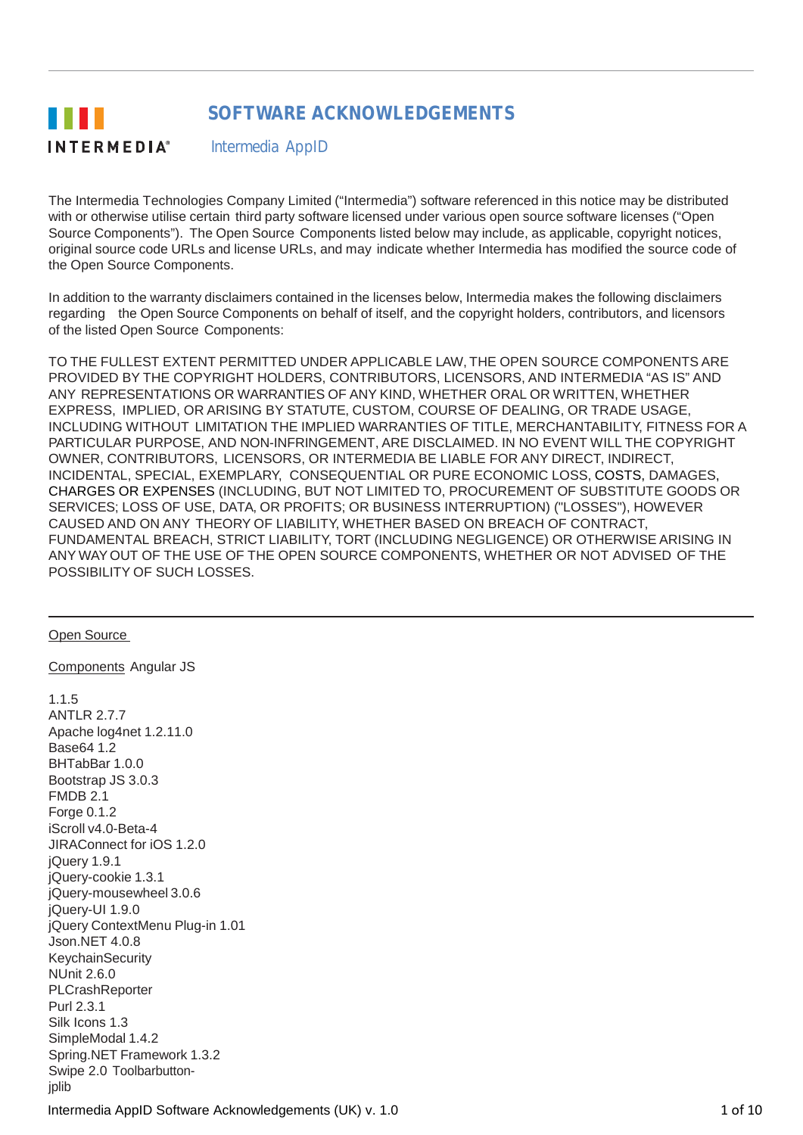#### **SOFTWARE ACKNOWLEDGEMENTS** . . . **INTERMEDIA®** Intermedia AppID

The Intermedia Technologies Company Limited ("Intermedia") software referenced in this notice may be distributed with or otherwise utilise certain third party software licensed under various open source software licenses ("Open Source Components"). The Open Source Components listed below may include, as applicable, copyright notices, original source code URLs and license URLs, and may indicate whether Intermedia has modified the source code of the Open Source Components.

In addition to the warranty disclaimers contained in the licenses below, Intermedia makes the following disclaimers regarding the Open Source Components on behalf of itself, and the copyright holders, contributors, and licensors of the listed Open Source Components:

TO THE FULLEST EXTENT PERMITTED UNDER APPLICABLE LAW, THE OPEN SOURCE COMPONENTS ARE PROVIDED BY THE COPYRIGHT HOLDERS, CONTRIBUTORS, LICENSORS, AND INTERMEDIA "AS IS" AND ANY REPRESENTATIONS OR WARRANTIES OF ANY KIND, WHETHER ORAL OR WRITTEN, WHETHER EXPRESS, IMPLIED, OR ARISING BY STATUTE, CUSTOM, COURSE OF DEALING, OR TRADE USAGE, INCLUDING WITHOUT LIMITATION THE IMPLIED WARRANTIES OF TITLE, MERCHANTABILITY, FITNESS FOR A PARTICULAR PURPOSE, AND NON-INFRINGEMENT, ARE DISCLAIMED. IN NO EVENT WILL THE COPYRIGHT OWNER, CONTRIBUTORS, LICENSORS, OR INTERMEDIA BE LIABLE FOR ANY DIRECT, INDIRECT, INCIDENTAL, SPECIAL, EXEMPLARY, CONSEQUENTIAL OR PURE ECONOMIC LOSS, COSTS, DAMAGES, CHARGES OR EXPENSES (INCLUDING, BUT NOT LIMITED TO, PROCUREMENT OF SUBSTITUTE GOODS OR SERVICES; LOSS OF USE, DATA, OR PROFITS; OR BUSINESS INTERRUPTION) ("LOSSES"), HOWEVER CAUSED AND ON ANY THEORY OF LIABILITY, WHETHER BASED ON BREACH OF CONTRACT, FUNDAMENTAL BREACH, STRICT LIABILITY, TORT (INCLUDING NEGLIGENCE) OR OTHERWISE ARISING IN ANY WAYOUT OF THE USE OF THE OPEN SOURCE COMPONENTS, WHETHER OR NOT ADVISED OF THE POSSIBILITY OF SUCH LOSSES.

Open Source

Components Angular JS

1.1.5 ANTLR 2.7.7 Apache log4net 1.2.11.0 Base64 1.2 BHTabBar 1.0.0 Bootstrap JS 3.0.3 FMDB 2.1 Forge 0.1.2 iScroll v4.0-Beta-4 JIRAConnect for iOS 1.2.0 jQuery 1.9.1 jQuery-cookie 1.3.1 jQuery-mousewheel 3.0.6 jQuery-UI 1.9.0 jQuery ContextMenu Plug-in 1.01 Json.NET 4.0.8 **KeychainSecurity** NUnit 2.6.0 **PLCrashReporter** Purl 2.3.1 Silk Icons 1.3 SimpleModal 1.4.2 Spring.NET Framework 1.3.2 Swipe 2.0 Toolbarbuttonjplib Intermedia AppID Software Acknowledgements (UK) v. 1.0 1 0 1 of 10 1 of 10 1 of 10 1 of 10 1 of 10 1 of 10 1 of 10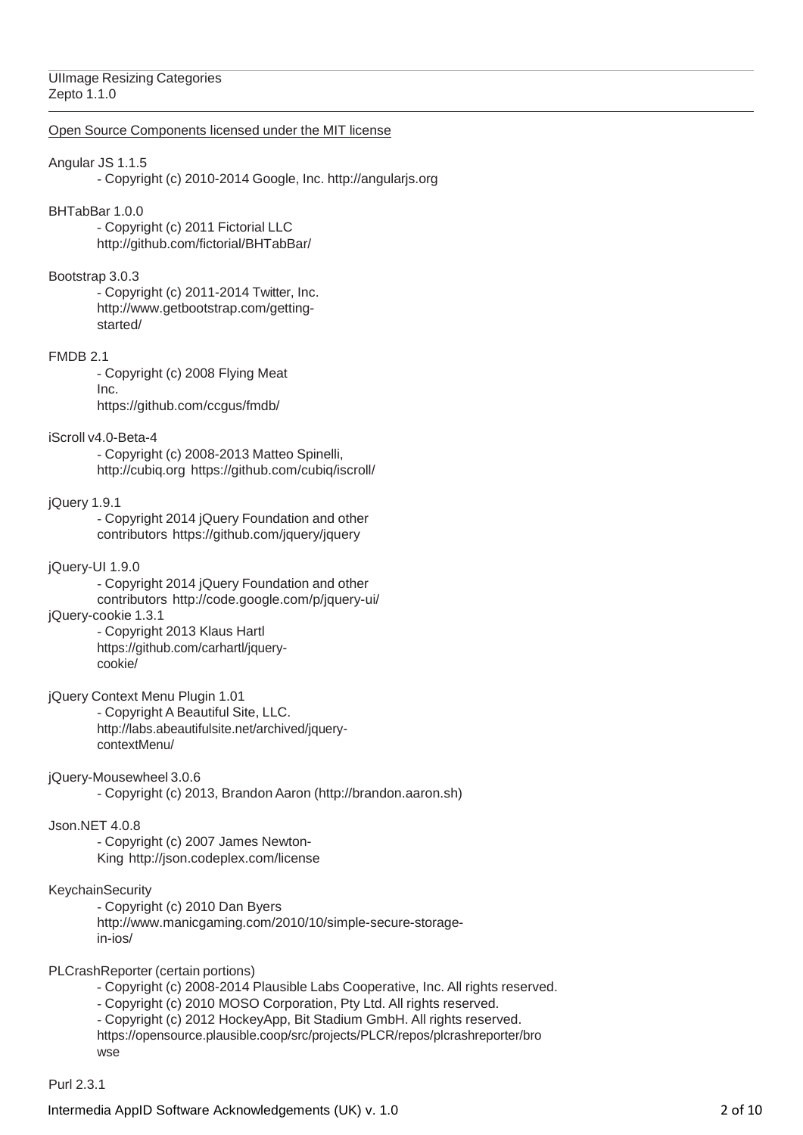# UIImage Resizing Categories Zepto 1.1.0

# Open Source Components licensed under the MIT license

# Angular JS 1.1.5

- Copyright (c) 2010-2014 Google, Inc. [http://angularjs.org](http://angularjs.org/)

# BHTabBar 1.0.0

- Copyright (c) 2011 Fictorial LLC <http://github.com/fictorial/BHTabBar/>

# Bootstrap 3.0.3

- Copyright (c) 2011-2014 Twitter, Inc[.](http://www.getbootstrap.com/getting-started/) [http://www.getbootstrap.com/getting](http://www.getbootstrap.com/getting-started/)[started/](http://www.getbootstrap.com/getting-started/)

## FMDB 2.1

- Copyright (c) 2008 Flying Meat Inc. https://github.com/ccgus/fmdb/

# iScroll v4.0-Beta-4

- Copyright (c) 2008-2013 Matteo Spinelli, [http://cubiq.org](http://cubiq.org/) https://github.com/cubiq/iscroll/

## jQuery 1.9.1

- Copyright 2014 jQuery Foundation and other contributors https://github.com/jquery/jquery

# jQuery-UI 1.9.0

- Copyright 2014 jQuery Foundation and other contributors <http://code.google.com/p/jquery-ui/>

jQuery-cookie 1.3.1

- Copyright 2013 Klaus Hartl https://github.com/carhartl/jquerycookie/

jQuery Context Menu Plugin 1.01 - Copyright A Beautiful Site, LLC[.](http://labs.abeautifulsite.net/archived/jquery-contextMenu/) [http://labs.abeautifulsite.net/archived/jquery](http://labs.abeautifulsite.net/archived/jquery-contextMenu/)[contextMenu/](http://labs.abeautifulsite.net/archived/jquery-contextMenu/)

## jQuery-Mousewheel 3.0.6

- Copyright (c) 2013, Brandon Aaron (http://brandon.aaron.sh)

## Json.NET 4.0.8

- Copyright (c) 2007 James Newton-King <http://json.codeplex.com/license>

## KeychainSecurity

- Copyright (c) 2010 Dan Byers [http://www.manicgaming.com/2010/10/simple-secure-storage](http://www.manicgaming.com/2010/10/simple-secure-storage-in-ios/)[in-ios/](http://www.manicgaming.com/2010/10/simple-secure-storage-in-ios/)

PLCrashReporter (certain portions)

- Copyright (c) 2008-2014 Plausible Labs Cooperative, Inc. All rights reserved.

- Copyright (c) 2010 MOSO Corporation, Pty Ltd. All rights reserved.

- Copyright (c) 2012 HockeyApp, Bit Stadium GmbH. All rights reserved. https://opensource.plausible.coop/src/projects/PLCR/repos/plcrashreporter/bro wse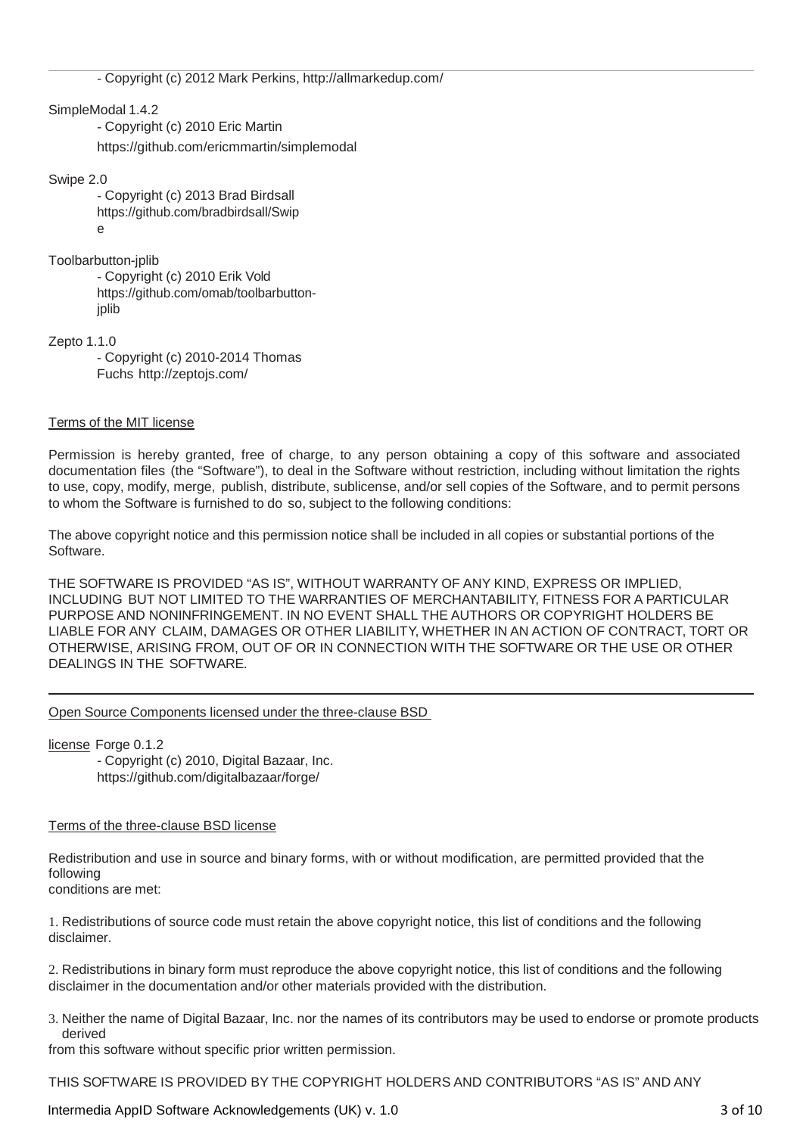- Copyright (c) 2012 Mark Perkins, <http://allmarkedup.com/>

SimpleModal 1.4.2

- Copyright (c) 2010 Eric Martin https://github.com/ericmmartin/simplemodal

Swipe 2.0

- Copyright (c) 2013 Brad Birdsall https://github.com/bradbirdsall/Swip e

Toolbarbutton-jplib

- Copyright (c) 2010 Erik Vold https://github.com/omab/toolbarbuttonjplib

Zepto 1.1.0

- Copyright (c) 2010-2014 Thomas Fuchs <http://zeptojs.com/>

# Terms of the MIT license

Permission is hereby granted, free of charge, to any person obtaining a copy of this software and associated documentation files (the "Software"), to deal in the Software without restriction, including without limitation the rights to use, copy, modify, merge, publish, distribute, sublicense, and/or sell copies of the Software, and to permit persons to whom the Software is furnished to do so, subject to the following conditions:

The above copyright notice and this permission notice shall be included in all copies or substantial portions of the Software.

THE SOFTWARE IS PROVIDED "AS IS", WITHOUT WARRANTY OF ANY KIND, EXPRESS OR IMPLIED, INCLUDING BUT NOT LIMITED TO THE WARRANTIES OF MERCHANTABILITY, FITNESS FOR A PARTICULAR PURPOSE AND NONINFRINGEMENT. IN NO EVENT SHALL THE AUTHORS OR COPYRIGHT HOLDERS BE LIABLE FOR ANY CLAIM, DAMAGES OR OTHER LIABILITY, WHETHER IN AN ACTION OF CONTRACT, TORT OR OTHERWISE, ARISING FROM, OUT OF OR IN CONNECTION WITH THE SOFTWARE OR THE USE OR OTHER DEALINGS IN THE SOFTWARE.

# Open Source Components licensed under the three-clause BSD

license Forge 0.1.2 - Copyright (c) 2010, Digital Bazaar, Inc. https://github.com/digitalbazaar/forge/

# Terms of the three-clause BSD license

Redistribution and use in source and binary forms, with or without modification, are permitted provided that the following conditions are met:

1. Redistributions of source code must retain the above copyright notice, this list of conditions and the following disclaimer.

2. Redistributions in binary form must reproduce the above copyright notice, this list of conditions and the following disclaimer in the documentation and/or other materials provided with the distribution.

3. Neither the name of Digital Bazaar, Inc. nor the names of its contributors may be used to endorse or promote products derived

from this software without specific prior written permission.

THIS SOFTWARE IS PROVIDED BY THE COPYRIGHT HOLDERS AND CONTRIBUTORS "AS IS" AND ANY

Intermedia AppID Software Acknowledgements (UK) v. 1.0 3 of 10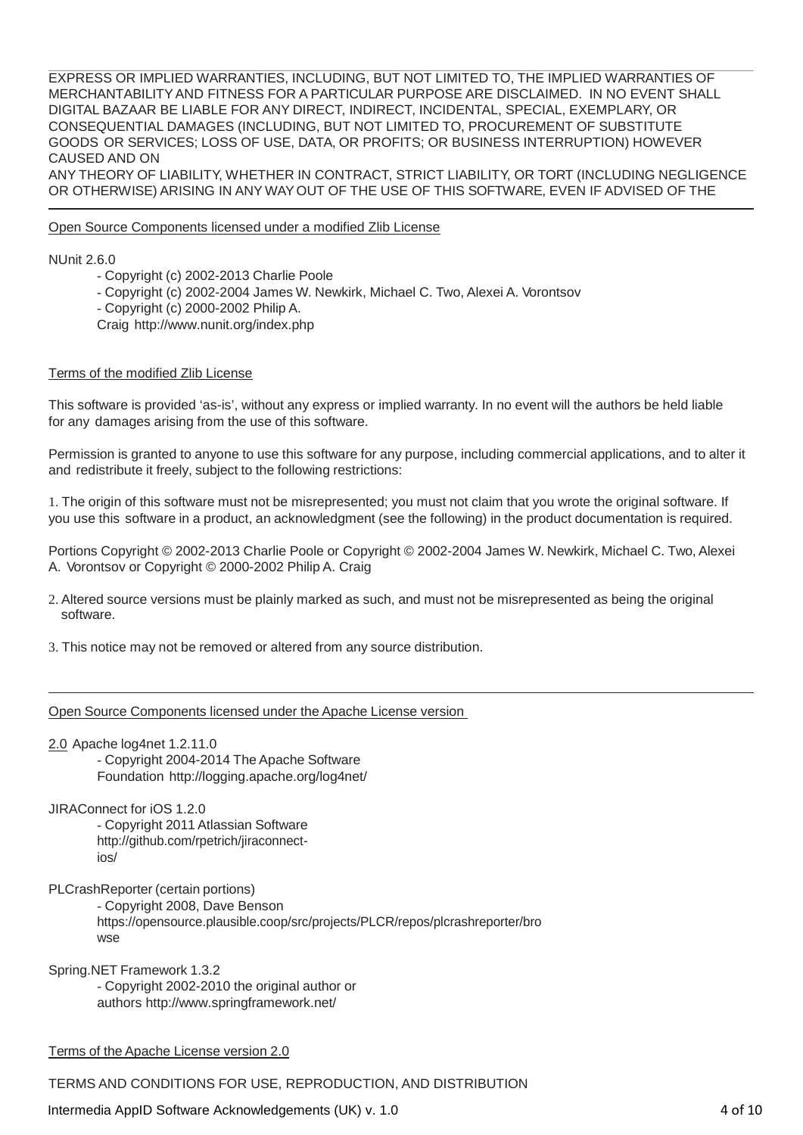EXPRESS OR IMPLIED WARRANTIES, INCLUDING, BUT NOT LIMITED TO, THE IMPLIED WARRANTIES OF MERCHANTABILITYAND FITNESS FOR A PARTICULAR PURPOSE ARE DISCLAIMED. IN NO EVENT SHALL DIGITAL BAZAAR BE LIABLE FOR ANY DIRECT, INDIRECT, INCIDENTAL, SPECIAL, EXEMPLARY, OR CONSEQUENTIAL DAMAGES (INCLUDING, BUT NOT LIMITED TO, PROCUREMENT OF SUBSTITUTE GOODS OR SERVICES; LOSS OF USE, DATA, OR PROFITS; OR BUSINESS INTERRUPTION) HOWEVER CAUSED AND ON

ANY THEORY OF LIABILITY, WHETHER IN CONTRACT, STRICT LIABILITY, OR TORT (INCLUDING NEGLIGENCE OR OTHERWISE) ARISING IN ANY WAYOUT OF THE USE OF THIS SOFTWARE, EVEN IF ADVISED OF THE

## Open Source Components licensed under a modified Zlib License

NUnit 2.6.0

- Copyright (c) 2002-2013 Charlie Poole
- Copyright (c) 2002-2004 James W. Newkirk, Michael C. Two, Alexei A. Vorontsov
- Copyright (c) 2000-2002 Philip A.
- Craig <http://www.nunit.org/index.php>

#### Terms of the modified Zlib License

This software is provided 'as-is', without any express or implied warranty. In no event will the authors be held liable for any damages arising from the use of this software.

Permission is granted to anyone to use this software for any purpose, including commercial applications, and to alter it and redistribute it freely, subject to the following restrictions:

1. The origin of this software must not be misrepresented; you must not claim that you wrote the original software. If you use this software in a product, an acknowledgment (see the following) in the product documentation is required.

Portions Copyright © 2002-2013 Charlie Poole or Copyright © 2002-2004 James W. Newkirk, Michael C. Two, Alexei A. Vorontsov or Copyright © 2000-2002 Philip A. Craig

2. Altered source versions must be plainly marked as such, and must not be misrepresented as being the original software.

3. This notice may not be removed or altered from any source distribution.

Open Source Components licensed under the Apache License version

2.0 Apache log4net 1.2.11.0

- Copyright 2004-2014 The Apache Software Foundation <http://logging.apache.org/log4net/>

JIRAConnect for iOS 1.2.0

- Copyright 2011 Atlassian Software [http://github.com/rpetrich/jiraconnect](http://github.com/rpetrich/jiraconnect-ios/)[ios/](http://github.com/rpetrich/jiraconnect-ios/)

PLCrashReporter (certain portions) - Copyright 2008, Dave Benson https://opensource.plausible.coop/src/projects/PLCR/repos/plcrashreporter/bro wse

Spring.NET Framework 1.3.2 - Copyright 2002-2010 the original author or authors <http://www.springframework.net/>

Terms of the Apache License version 2.0

TERMS AND CONDITIONS FOR USE, REPRODUCTION, AND DISTRIBUTION

Intermedia AppID Software Acknowledgements (UK) v. 1.0 4 of 10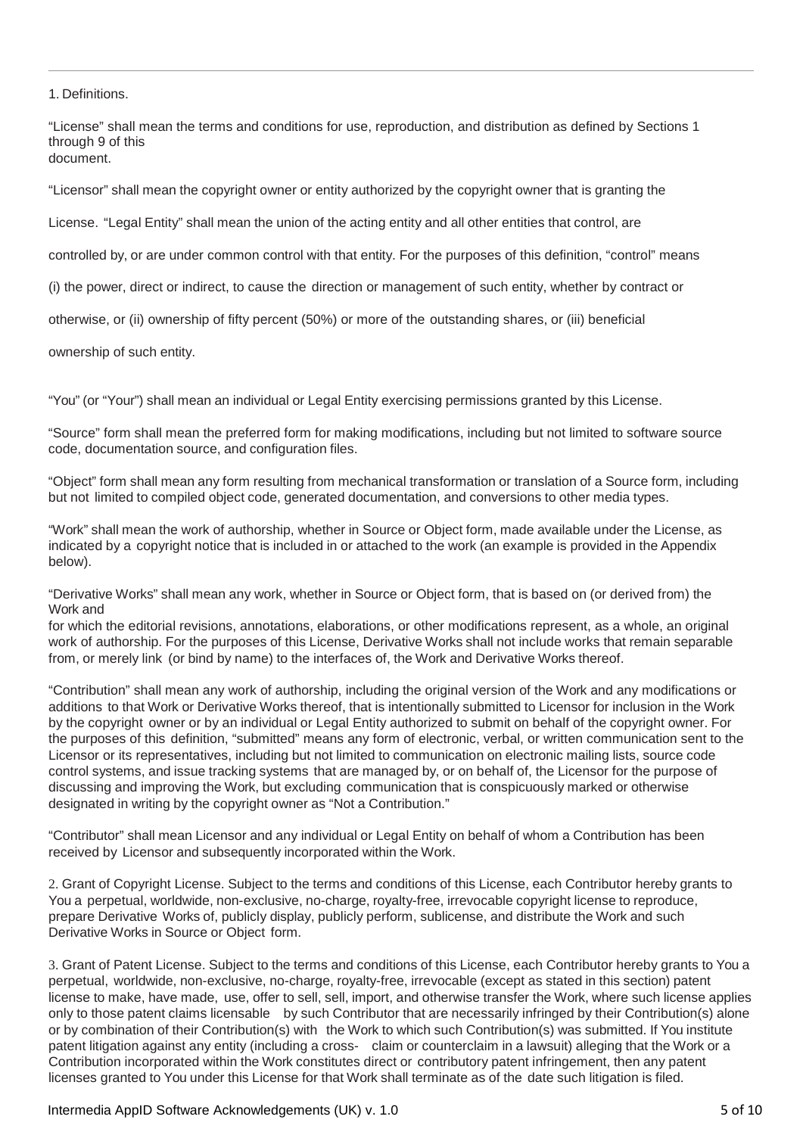1. Definitions.

"License" shall mean the terms and conditions for use, reproduction, and distribution as defined by Sections 1 through 9 of this document.

"Licensor" shall mean the copyright owner or entity authorized by the copyright owner that is granting the

License. "Legal Entity" shall mean the union of the acting entity and all other entities that control, are

controlled by, or are under common control with that entity. For the purposes of this definition, "control" means

(i) the power, direct or indirect, to cause the direction or management of such entity, whether by contract or

otherwise, or (ii) ownership of fifty percent (50%) or more of the outstanding shares, or (iii) beneficial

ownership of such entity.

"You" (or "Your") shall mean an individual or Legal Entity exercising permissions granted by this License.

"Source" form shall mean the preferred form for making modifications, including but not limited to software source code, documentation source, and configuration files.

"Object" form shall mean any form resulting from mechanical transformation or translation of a Source form, including but not limited to compiled object code, generated documentation, and conversions to other media types.

"Work" shall mean the work of authorship, whether in Source or Object form, made available under the License, as indicated by a copyright notice that is included in or attached to the work (an example is provided in the Appendix below).

"Derivative Works" shall mean any work, whether in Source or Object form, that is based on (or derived from) the Work and

for which the editorial revisions, annotations, elaborations, or other modifications represent, as a whole, an original work of authorship. For the purposes of this License, Derivative Works shall not include works that remain separable from, or merely link (or bind by name) to the interfaces of, the Work and Derivative Works thereof.

"Contribution" shall mean any work of authorship, including the original version of the Work and any modifications or additions to that Work or Derivative Works thereof, that is intentionally submitted to Licensor for inclusion in the Work by the copyright owner or by an individual or Legal Entity authorized to submit on behalf of the copyright owner. For the purposes of this definition, "submitted" means any form of electronic, verbal, or written communication sent to the Licensor or its representatives, including but not limited to communication on electronic mailing lists, source code control systems, and issue tracking systems that are managed by, or on behalf of, the Licensor for the purpose of discussing and improving the Work, but excluding communication that is conspicuously marked or otherwise designated in writing by the copyright owner as "Not a Contribution."

"Contributor" shall mean Licensor and any individual or Legal Entity on behalf of whom a Contribution has been received by Licensor and subsequently incorporated within the Work.

2. Grant of Copyright License. Subject to the terms and conditions of this License, each Contributor hereby grants to You a perpetual, worldwide, non-exclusive, no-charge, royalty-free, irrevocable copyright license to reproduce, prepare Derivative Works of, publicly display, publicly perform, sublicense, and distribute the Work and such Derivative Works in Source or Object form.

3. Grant of Patent License. Subject to the terms and conditions of this License, each Contributor hereby grants to You a perpetual, worldwide, non-exclusive, no-charge, royalty-free, irrevocable (except as stated in this section) patent license to make, have made, use, offer to sell, sell, import, and otherwise transfer the Work, where such license applies only to those patent claims licensable by such Contributor that are necessarily infringed by their Contribution(s) alone or by combination of their Contribution(s) with the Work to which such Contribution(s) was submitted. If You institute patent litigation against any entity (including a cross- claim or counterclaim in a lawsuit) alleging that the Work or a Contribution incorporated within the Work constitutes direct or contributory patent infringement, then any patent licenses granted to You under this License for that Work shall terminate as of the date such litigation is filed.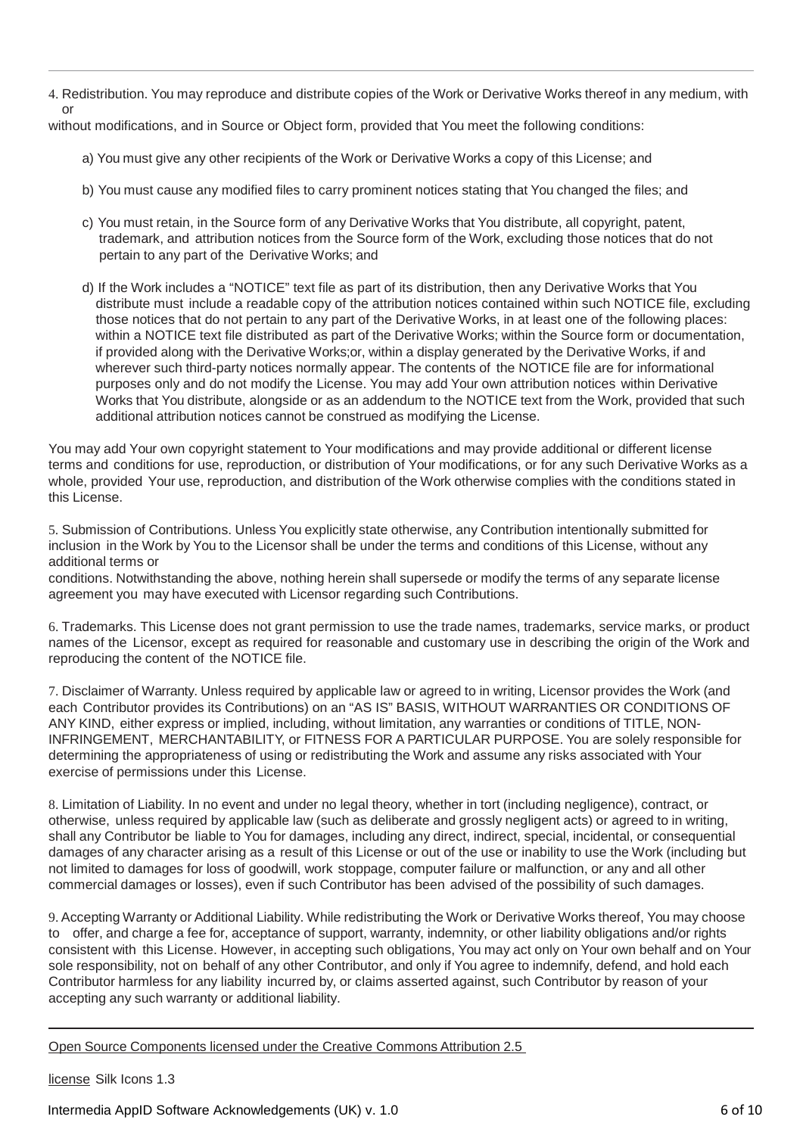4. Redistribution. You may reproduce and distribute copies of the Work or Derivative Works thereof in any medium, with or

without modifications, and in Source or Object form, provided that You meet the following conditions:

- a) You must give any other recipients of the Work or Derivative Works a copy of this License; and
- b) You must cause any modified files to carry prominent notices stating that You changed the files; and
- c) You must retain, in the Source form of any Derivative Works that You distribute, all copyright, patent, trademark, and attribution notices from the Source form of the Work, excluding those notices that do not pertain to any part of the Derivative Works; and
- d) If the Work includes a "NOTICE" text file as part of its distribution, then any Derivative Works that You distribute must include a readable copy of the attribution notices contained within such NOTICE file, excluding those notices that do not pertain to any part of the Derivative Works, in at least one of the following places: within a NOTICE text file distributed as part of the Derivative Works; within the Source form or documentation, if provided along with the Derivative Works;or, within a display generated by the Derivative Works, if and wherever such third-party notices normally appear. The contents of the NOTICE file are for informational purposes only and do not modify the License. You may add Your own attribution notices within Derivative Works that You distribute, alongside or as an addendum to the NOTICE text from the Work, provided that such additional attribution notices cannot be construed as modifying the License.

You may add Your own copyright statement to Your modifications and may provide additional or different license terms and conditions for use, reproduction, or distribution of Your modifications, or for any such Derivative Works as a whole, provided Your use, reproduction, and distribution of the Work otherwise complies with the conditions stated in this License.

5. Submission of Contributions. Unless You explicitly state otherwise, any Contribution intentionally submitted for inclusion in the Work by You to the Licensor shall be under the terms and conditions of this License, without any additional terms or

conditions. Notwithstanding the above, nothing herein shall supersede or modify the terms of any separate license agreement you may have executed with Licensor regarding such Contributions.

6. Trademarks. This License does not grant permission to use the trade names, trademarks, service marks, or product names of the Licensor, except as required for reasonable and customary use in describing the origin of the Work and reproducing the content of the NOTICE file.

7. Disclaimer of Warranty. Unless required by applicable law or agreed to in writing, Licensor provides the Work (and each Contributor provides its Contributions) on an "AS IS" BASIS, WITHOUT WARRANTIES OR CONDITIONS OF ANY KIND, either express or implied, including, without limitation, any warranties or conditions of TITLE, NON-INFRINGEMENT, MERCHANTABILITY, or FITNESS FOR A PARTICULAR PURPOSE. You are solely responsible for determining the appropriateness of using or redistributing the Work and assume any risks associated with Your exercise of permissions under this License.

8. Limitation of Liability. In no event and under no legal theory, whether in tort (including negligence), contract, or otherwise, unless required by applicable law (such as deliberate and grossly negligent acts) or agreed to in writing, shall any Contributor be liable to You for damages, including any direct, indirect, special, incidental, or consequential damages of any character arising as a result of this License or out of the use or inability to use the Work (including but not limited to damages for loss of goodwill, work stoppage, computer failure or malfunction, or any and all other commercial damages or losses), even if such Contributor has been advised of the possibility of such damages.

9. Accepting Warranty or Additional Liability. While redistributing the Work or Derivative Works thereof, You may choose to offer, and charge a fee for, acceptance of support, warranty, indemnity, or other liability obligations and/or rights consistent with this License. However, in accepting such obligations, You may act only on Your own behalf and on Your sole responsibility, not on behalf of any other Contributor, and only if You agree to indemnify, defend, and hold each Contributor harmless for any liability incurred by, or claims asserted against, such Contributor by reason of your accepting any such warranty or additional liability.

Open Source Components licensed under the Creative Commons Attribution 2.5

license Silk Icons 1.3

Intermedia AppID Software Acknowledgements (UK) v. 1.0 6 of 10 and 10 and 10 and 10 and 10 and 10 and 10 and 10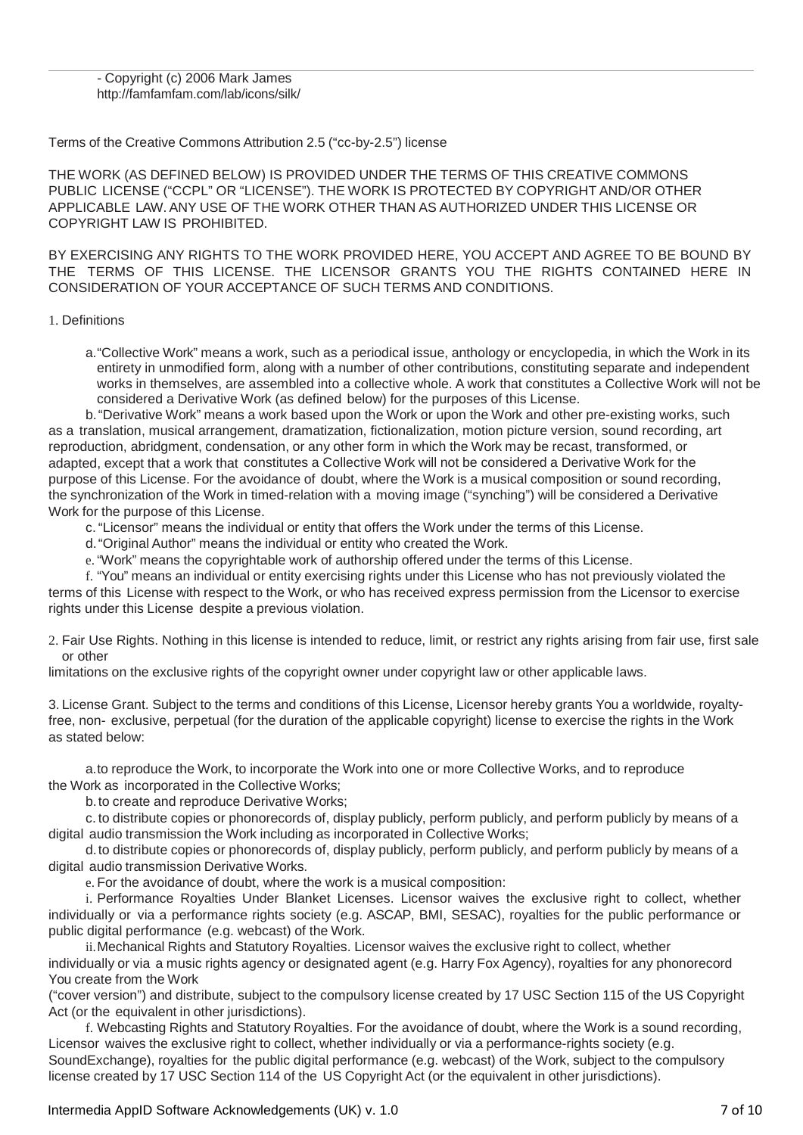#### - Copyright (c) 2006 Mark James <http://famfamfam.com/lab/icons/silk/>

# Terms of the Creative Commons Attribution 2.5 ("cc-by-2.5") license

THE WORK (AS DEFINED BELOW) IS PROVIDED UNDER THE TERMS OF THIS CREATIVE COMMONS PUBLIC LICENSE ("CCPL" OR "LICENSE"). THE WORK IS PROTECTED BY COPYRIGHT AND/OR OTHER APPLICABLE LAW. ANY USE OF THE WORK OTHER THAN AS AUTHORIZED UNDER THIS LICENSE OR COPYRIGHT LAW IS PROHIBITED.

BY EXERCISING ANY RIGHTS TO THE WORK PROVIDED HERE, YOU ACCEPT AND AGREE TO BE BOUND BY THE TERMS OF THIS LICENSE. THE LICENSOR GRANTS YOU THE RIGHTS CONTAINED HERE IN CONSIDERATION OF YOUR ACCEPTANCE OF SUCH TERMS AND CONDITIONS.

1. Definitions

a."Collective Work" means a work, such as a periodical issue, anthology or encyclopedia, in which the Work in its entirety in unmodified form, along with a number of other contributions, constituting separate and independent works in themselves, are assembled into a collective whole. A work that constitutes a Collective Work will not be considered a Derivative Work (as defined below) for the purposes of this License.

b."Derivative Work" means a work based upon the Work or upon the Work and other pre-existing works, such as a translation, musical arrangement, dramatization, fictionalization, motion picture version, sound recording, art reproduction, abridgment, condensation, or any other form in which the Work may be recast, transformed, or adapted, except that a work that constitutes a Collective Work will not be considered a Derivative Work for the purpose of this License. For the avoidance of doubt, where the Work is a musical composition or sound recording, the synchronization of the Work in timed-relation with a moving image ("synching") will be considered a Derivative Work for the purpose of this License.

- c. "Licensor" means the individual or entity that offers the Work under the terms of this License.
- d."Original Author" means the individual or entity who created the Work.
- e. "Work" means the copyrightable work of authorship offered under the terms of this License.

f. "You" means an individual or entity exercising rights under this License who has not previously violated the terms of this License with respect to the Work, or who has received express permission from the Licensor to exercise rights under this License despite a previous violation.

2. Fair Use Rights. Nothing in this license is intended to reduce, limit, or restrict any rights arising from fair use, first sale or other

limitations on the exclusive rights of the copyright owner under copyright law or other applicable laws.

3. License Grant. Subject to the terms and conditions of this License, Licensor hereby grants You a worldwide, royaltyfree, non- exclusive, perpetual (for the duration of the applicable copyright) license to exercise the rights in the Work as stated below:

a.to reproduce the Work, to incorporate the Work into one or more Collective Works, and to reproduce the Work as incorporated in the Collective Works;

b.to create and reproduce Derivative Works;

c. to distribute copies or phonorecords of, display publicly, perform publicly, and perform publicly by means of a digital audio transmission the Work including as incorporated in Collective Works;

d.to distribute copies or phonorecords of, display publicly, perform publicly, and perform publicly by means of a digital audio transmission Derivative Works.

e. For the avoidance of doubt, where the work is a musical composition:

i. Performance Royalties Under Blanket Licenses. Licensor waives the exclusive right to collect, whether individually or via a performance rights society (e.g. ASCAP, BMI, SESAC), royalties for the public performance or public digital performance (e.g. webcast) of the Work.

ii.Mechanical Rights and Statutory Royalties. Licensor waives the exclusive right to collect, whether individually or via a music rights agency or designated agent (e.g. Harry Fox Agency), royalties for any phonorecord You create from the Work

("cover version") and distribute, subject to the compulsory license created by 17 USC Section 115 of the US Copyright Act (or the equivalent in other jurisdictions).

f. Webcasting Rights and Statutory Royalties. For the avoidance of doubt, where the Work is a sound recording, Licensor waives the exclusive right to collect, whether individually or via a performance-rights society (e.g. SoundExchange), royalties for the public digital performance (e.g. webcast) of the Work, subject to the compulsory license created by 17 USC Section 114 of the US Copyright Act (or the equivalent in other jurisdictions).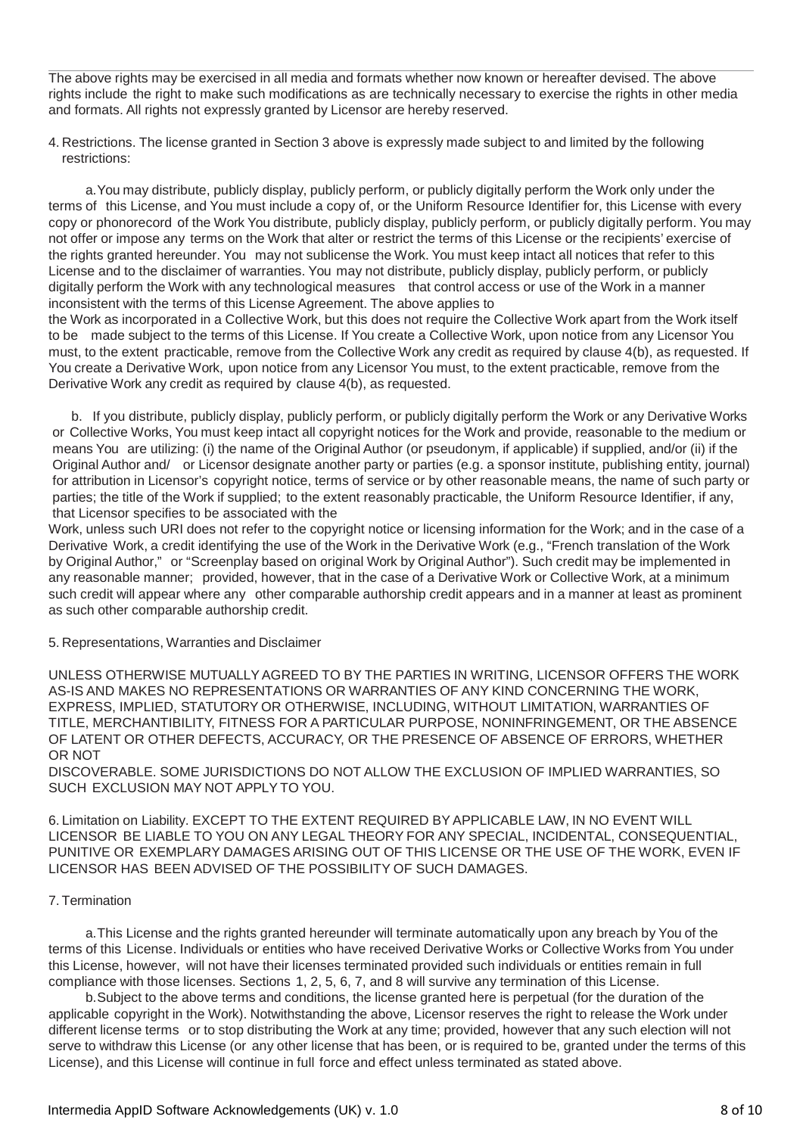The above rights may be exercised in all media and formats whether now known or hereafter devised. The above rights include the right to make such modifications as are technically necessary to exercise the rights in other media and formats. All rights not expressly granted by Licensor are hereby reserved.

4. Restrictions. The license granted in Section 3 above is expressly made subject to and limited by the following restrictions:

a.You may distribute, publicly display, publicly perform, or publicly digitally perform the Work only under the terms of this License, and You must include a copy of, or the Uniform Resource Identifier for, this License with every copy or phonorecord of the Work You distribute, publicly display, publicly perform, or publicly digitally perform. You may not offer or impose any terms on the Work that alter or restrict the terms of this License or the recipients' exercise of the rights granted hereunder. You may not sublicense the Work. You must keep intact all notices that refer to this License and to the disclaimer of warranties. You may not distribute, publicly display, publicly perform, or publicly digitally perform the Work with any technological measures that control access or use of the Work in a manner inconsistent with the terms of this License Agreement. The above applies to

the Work as incorporated in a Collective Work, but this does not require the Collective Work apart from the Work itself to be made subject to the terms of this License. If You create a Collective Work, upon notice from any Licensor You must, to the extent practicable, remove from the Collective Work any credit as required by clause 4(b), as requested. If You create a Derivative Work, upon notice from any Licensor You must, to the extent practicable, remove from the Derivative Work any credit as required by clause 4(b), as requested.

b. If you distribute, publicly display, publicly perform, or publicly digitally perform the Work or any Derivative Works or Collective Works, You must keep intact all copyright notices for the Work and provide, reasonable to the medium or means You are utilizing: (i) the name of the Original Author (or pseudonym, if applicable) if supplied, and/or (ii) if the Original Author and/ or Licensor designate another party or parties (e.g. a sponsor institute, publishing entity, journal) for attribution in Licensor's copyright notice, terms of service or by other reasonable means, the name of such party or parties; the title of the Work if supplied; to the extent reasonably practicable, the Uniform Resource Identifier, if any, that Licensor specifies to be associated with the

Work, unless such URI does not refer to the copyright notice or licensing information for the Work; and in the case of a Derivative Work, a credit identifying the use of the Work in the Derivative Work (e.g., "French translation of the Work by Original Author," or "Screenplay based on original Work by Original Author"). Such credit may be implemented in any reasonable manner; provided, however, that in the case of a Derivative Work or Collective Work, at a minimum such credit will appear where any other comparable authorship credit appears and in a manner at least as prominent as such other comparable authorship credit.

## 5. Representations, Warranties and Disclaimer

UNLESS OTHERWISE MUTUALLYAGREED TO BY THE PARTIES IN WRITING, LICENSOR OFFERS THE WORK AS-IS AND MAKES NO REPRESENTATIONS OR WARRANTIES OF ANY KIND CONCERNING THE WORK, EXPRESS, IMPLIED, STATUTORY OR OTHERWISE, INCLUDING, WITHOUT LIMITATION, WARRANTIES OF TITLE, MERCHANTIBILITY, FITNESS FOR A PARTICULAR PURPOSE, NONINFRINGEMENT, OR THE ABSENCE OF LATENT OR OTHER DEFECTS, ACCURACY, OR THE PRESENCE OF ABSENCE OF ERRORS, WHETHER OR NOT

DISCOVERABLE. SOME JURISDICTIONS DO NOT ALLOW THE EXCLUSION OF IMPLIED WARRANTIES, SO SUCH EXCLUSION MAY NOT APPLY TO YOU.

6. Limitation on Liability. EXCEPT TO THE EXTENT REQUIRED BYAPPLICABLE LAW, IN NO EVENT WILL LICENSOR BE LIABLE TO YOU ON ANY LEGAL THEORY FOR ANY SPECIAL, INCIDENTAL, CONSEQUENTIAL, PUNITIVE OR EXEMPLARY DAMAGES ARISING OUT OF THIS LICENSE OR THE USE OF THE WORK, EVEN IF LICENSOR HAS BEEN ADVISED OF THE POSSIBILITY OF SUCH DAMAGES.

### 7. Termination

a.This License and the rights granted hereunder will terminate automatically upon any breach by You of the terms of this License. Individuals or entities who have received Derivative Works or Collective Works from You under this License, however, will not have their licenses terminated provided such individuals or entities remain in full compliance with those licenses. Sections 1, 2, 5, 6, 7, and 8 will survive any termination of this License.

b.Subject to the above terms and conditions, the license granted here is perpetual (for the duration of the applicable copyright in the Work). Notwithstanding the above, Licensor reserves the right to release the Work under different license terms or to stop distributing the Work at any time; provided, however that any such election will not serve to withdraw this License (or any other license that has been, or is required to be, granted under the terms of this License), and this License will continue in full force and effect unless terminated as stated above.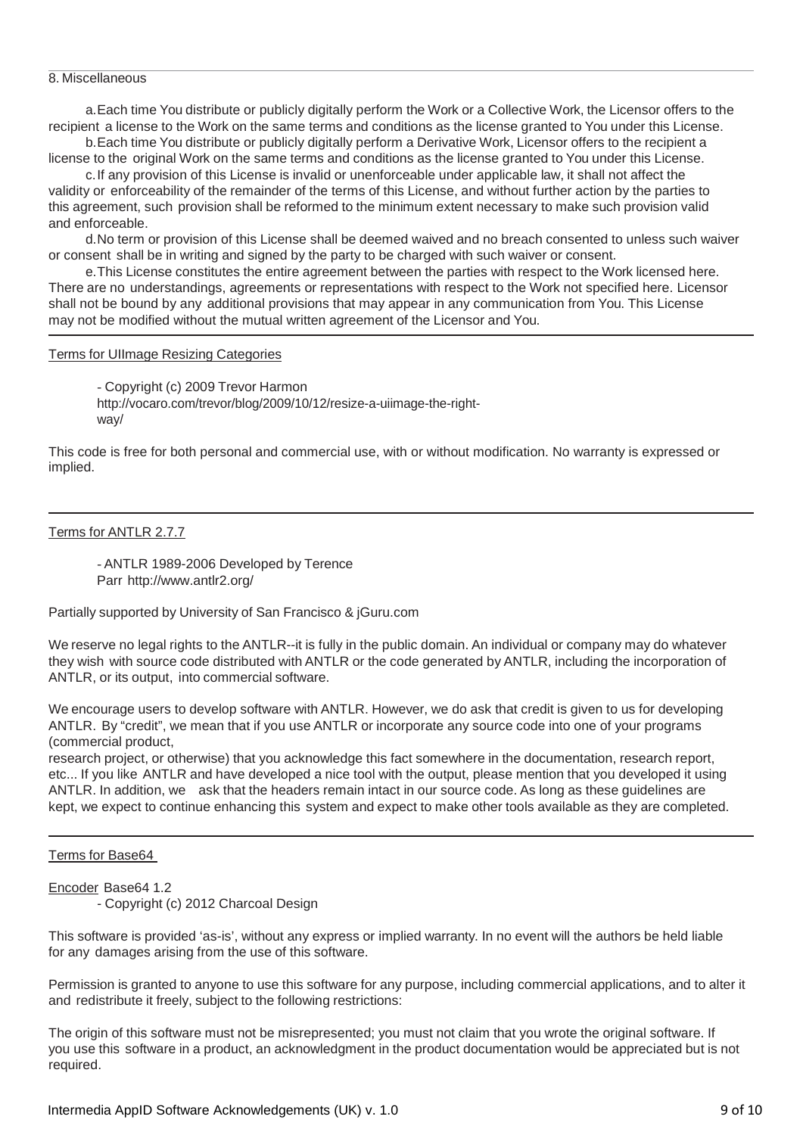#### 8. Miscellaneous

a.Each time You distribute or publicly digitally perform the Work or a Collective Work, the Licensor offers to the recipient a license to the Work on the same terms and conditions as the license granted to You under this License.

b.Each time You distribute or publicly digitally perform a Derivative Work, Licensor offers to the recipient a license to the original Work on the same terms and conditions as the license granted to You under this License.

c.If any provision of this License is invalid or unenforceable under applicable law, it shall not affect the validity or enforceability of the remainder of the terms of this License, and without further action by the parties to this agreement, such provision shall be reformed to the minimum extent necessary to make such provision valid and enforceable.

d.No term or provision of this License shall be deemed waived and no breach consented to unless such waiver or consent shall be in writing and signed by the party to be charged with such waiver or consent.

e.This License constitutes the entire agreement between the parties with respect to the Work licensed here. There are no understandings, agreements or representations with respect to the Work not specified here. Licensor shall not be bound by any additional provisions that may appear in any communication from You. This License may not be modified without the mutual written agreement of the Licensor and You.

## Terms for UIImage Resizing Categories

- Copyright (c) 2009 Trevor Harmon [http://vocaro.com/trevor/blog/2009/10/12/resize-a-uiimage-the-right](http://vocaro.com/trevor/blog/2009/10/12/resize-a-uiimage-the-right-way/)[way/](http://vocaro.com/trevor/blog/2009/10/12/resize-a-uiimage-the-right-way/)

This code is free for both personal and commercial use, with or without modification. No warranty is expressed or implied.

Terms for ANTLR 2.7.7

- ANTLR 1989-2006 Developed by Terence Parr <http://www.antlr2.org/>

Partially supported by University of San Francisco & jGuru.com

We reserve no legal rights to the ANTLR--it is fully in the public domain. An individual or company may do whatever they wish with source code distributed with ANTLR or the code generated by ANTLR, including the incorporation of ANTLR, or its output, into commercial software.

We encourage users to develop software with ANTLR. However, we do ask that credit is given to us for developing ANTLR. By "credit", we mean that if you use ANTLR or incorporate any source code into one of your programs (commercial product,

research project, or otherwise) that you acknowledge this fact somewhere in the documentation, research report, etc... If you like ANTLR and have developed a nice tool with the output, please mention that you developed it using ANTLR. In addition, we ask that the headers remain intact in our source code. As long as these guidelines are kept, we expect to continue enhancing this system and expect to make other tools available as they are completed.

Terms for Base64

Encoder Base64 1.2

- Copyright (c) 2012 Charcoal Design

This software is provided 'as-is', without any express or implied warranty. In no event will the authors be held liable for any damages arising from the use of this software.

Permission is granted to anyone to use this software for any purpose, including commercial applications, and to alter it and redistribute it freely, subject to the following restrictions:

The origin of this software must not be misrepresented; you must not claim that you wrote the original software. If you use this software in a product, an acknowledgment in the product documentation would be appreciated but is not required.